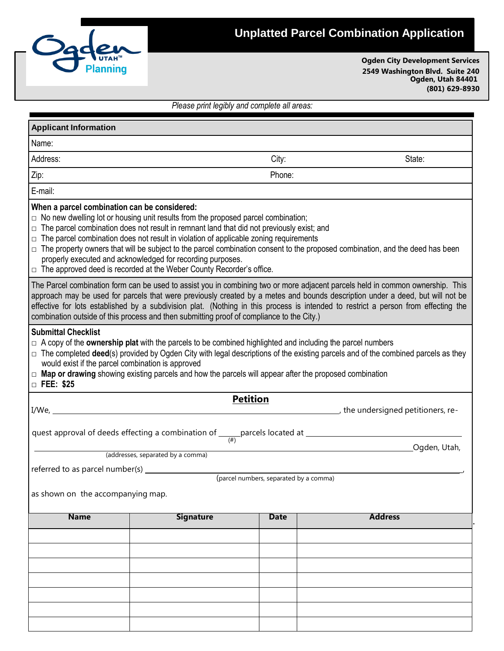

## **Unplatted Parcel Combination Application**

**Ogden City Development Services 2549 Washington Blvd. Suite 240 Ogden, Utah 84401 (801) 629-8930**

*Please print legibly and complete all areas:*

| <b>Applicant Information</b>                                                                                                                                                                                                                                                                                                                                                                                                                                                                                                                                                                                                 |                                                                                                       |                                        |                                  |                |  |  |  |
|------------------------------------------------------------------------------------------------------------------------------------------------------------------------------------------------------------------------------------------------------------------------------------------------------------------------------------------------------------------------------------------------------------------------------------------------------------------------------------------------------------------------------------------------------------------------------------------------------------------------------|-------------------------------------------------------------------------------------------------------|----------------------------------------|----------------------------------|----------------|--|--|--|
| Name:                                                                                                                                                                                                                                                                                                                                                                                                                                                                                                                                                                                                                        |                                                                                                       |                                        |                                  |                |  |  |  |
| Address:                                                                                                                                                                                                                                                                                                                                                                                                                                                                                                                                                                                                                     |                                                                                                       |                                        |                                  | State:         |  |  |  |
| Zip:                                                                                                                                                                                                                                                                                                                                                                                                                                                                                                                                                                                                                         |                                                                                                       |                                        |                                  |                |  |  |  |
| E-mail:                                                                                                                                                                                                                                                                                                                                                                                                                                                                                                                                                                                                                      |                                                                                                       |                                        |                                  |                |  |  |  |
| When a parcel combination can be considered:<br>$\Box$ No new dwelling lot or housing unit results from the proposed parcel combination;<br>$\Box$ The parcel combination does not result in remnant land that did not previously exist; and<br>$\Box$ The parcel combination does not result in violation of applicable zoning requirements<br>□ The property owners that will be subject to the parcel combination consent to the proposed combination, and the deed has been<br>properly executed and acknowledged for recording purposes.<br>$\Box$ The approved deed is recorded at the Weber County Recorder's office. |                                                                                                       |                                        |                                  |                |  |  |  |
| The Parcel combination form can be used to assist you in combining two or more adjacent parcels held in common ownership. This<br>approach may be used for parcels that were previously created by a metes and bounds description under a deed, but will not be<br>effective for lots established by a subdivision plat. (Nothing in this process is intended to restrict a person from effecting the<br>combination outside of this process and then submitting proof of compliance to the City.)                                                                                                                           |                                                                                                       |                                        |                                  |                |  |  |  |
| <b>Submittal Checklist</b><br>$\Box$ A copy of the <b>ownership plat</b> with the parcels to be combined highlighted and including the parcel numbers<br>$\Box$ The completed deed(s) provided by Ogden City with legal descriptions of the existing parcels and of the combined parcels as they<br>would exist if the parcel combination is approved<br>$\Box$ Map or drawing showing existing parcels and how the parcels will appear after the proposed combination<br>□ FEE: \$25                                                                                                                                        |                                                                                                       |                                        |                                  |                |  |  |  |
| I/We,                                                                                                                                                                                                                                                                                                                                                                                                                                                                                                                                                                                                                        |                                                                                                       | <b>Petition</b>                        | the undersigned petitioners, re- |                |  |  |  |
|                                                                                                                                                                                                                                                                                                                                                                                                                                                                                                                                                                                                                              | quest approval of deeds effecting a combination of $\frac{1}{(H)}$ parcels located at $\frac{1}{(H)}$ |                                        |                                  |                |  |  |  |
|                                                                                                                                                                                                                                                                                                                                                                                                                                                                                                                                                                                                                              |                                                                                                       |                                        |                                  | Ogden, Utah,   |  |  |  |
|                                                                                                                                                                                                                                                                                                                                                                                                                                                                                                                                                                                                                              | (addresses, separated by a comma)                                                                     |                                        |                                  |                |  |  |  |
| referred to as parcel number(s) _                                                                                                                                                                                                                                                                                                                                                                                                                                                                                                                                                                                            |                                                                                                       | (parcel numbers, separated by a comma) |                                  |                |  |  |  |
| as shown on the accompanying map.                                                                                                                                                                                                                                                                                                                                                                                                                                                                                                                                                                                            |                                                                                                       |                                        |                                  |                |  |  |  |
| <b>Name</b>                                                                                                                                                                                                                                                                                                                                                                                                                                                                                                                                                                                                                  | <b>Signature</b>                                                                                      | <b>Date</b>                            |                                  | <b>Address</b> |  |  |  |
|                                                                                                                                                                                                                                                                                                                                                                                                                                                                                                                                                                                                                              |                                                                                                       |                                        |                                  |                |  |  |  |
|                                                                                                                                                                                                                                                                                                                                                                                                                                                                                                                                                                                                                              |                                                                                                       |                                        |                                  |                |  |  |  |
|                                                                                                                                                                                                                                                                                                                                                                                                                                                                                                                                                                                                                              |                                                                                                       |                                        |                                  |                |  |  |  |
|                                                                                                                                                                                                                                                                                                                                                                                                                                                                                                                                                                                                                              |                                                                                                       |                                        |                                  |                |  |  |  |
|                                                                                                                                                                                                                                                                                                                                                                                                                                                                                                                                                                                                                              |                                                                                                       |                                        |                                  |                |  |  |  |
|                                                                                                                                                                                                                                                                                                                                                                                                                                                                                                                                                                                                                              |                                                                                                       |                                        |                                  |                |  |  |  |
|                                                                                                                                                                                                                                                                                                                                                                                                                                                                                                                                                                                                                              |                                                                                                       |                                        |                                  |                |  |  |  |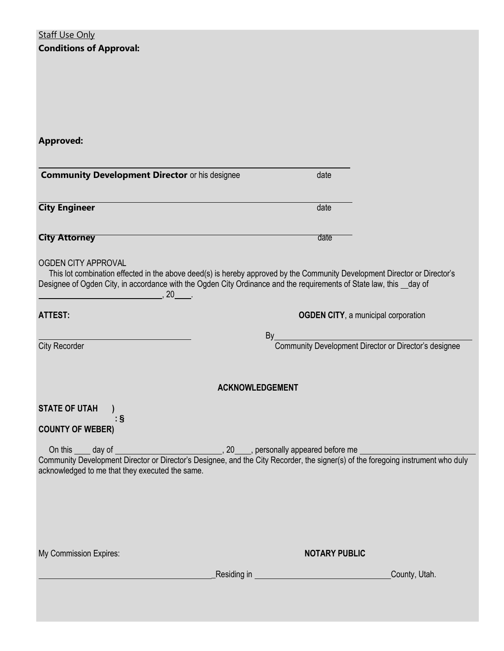| <b>Staff Use Only</b><br><b>Conditions of Approval:</b>                                                                                                                                                                                                                                                    |                                                                                                                                  |
|------------------------------------------------------------------------------------------------------------------------------------------------------------------------------------------------------------------------------------------------------------------------------------------------------------|----------------------------------------------------------------------------------------------------------------------------------|
| <b>Approved:</b>                                                                                                                                                                                                                                                                                           |                                                                                                                                  |
| <b>Community Development Director or his designee</b>                                                                                                                                                                                                                                                      | date                                                                                                                             |
| <b>City Engineer</b>                                                                                                                                                                                                                                                                                       | date                                                                                                                             |
| <b>City Attorney</b>                                                                                                                                                                                                                                                                                       | date                                                                                                                             |
| <b>OGDEN CITY APPROVAL</b><br>This lot combination effected in the above deed(s) is hereby approved by the Community Development Director or Director's<br>Designee of Ogden City, in accordance with the Ogden City Ordinance and the requirements of State law, this _day of<br>$20$ .<br><b>ATTEST:</b> | <b>OGDEN CITY, a municipal corporation</b>                                                                                       |
| <b>City Recorder</b>                                                                                                                                                                                                                                                                                       | By<br>Community Development Director or Director's designee                                                                      |
|                                                                                                                                                                                                                                                                                                            | <b>ACKNOWLEDGEMENT</b>                                                                                                           |
| <b>STATE OF UTAH</b><br>: §<br><b>COUNTY OF WEBER)</b>                                                                                                                                                                                                                                                     |                                                                                                                                  |
| acknowledged to me that they executed the same.                                                                                                                                                                                                                                                            | Community Development Director or Director's Designee, and the City Recorder, the signer(s) of the foregoing instrument who duly |
| My Commission Expires:                                                                                                                                                                                                                                                                                     | <b>NOTARY PUBLIC</b>                                                                                                             |
| Residing in                                                                                                                                                                                                                                                                                                | County, Utah.                                                                                                                    |
|                                                                                                                                                                                                                                                                                                            |                                                                                                                                  |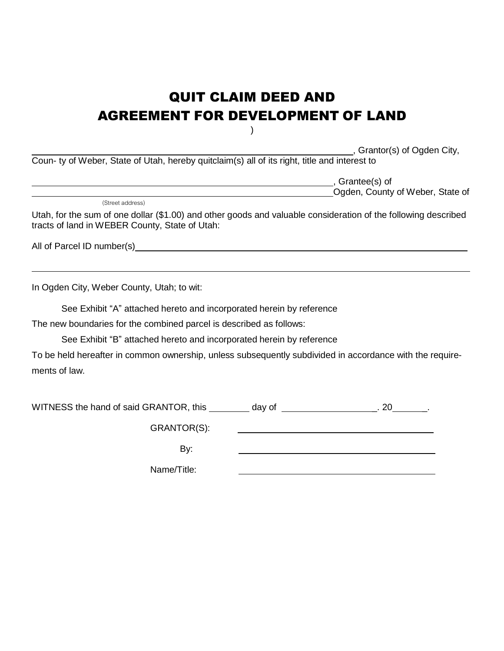# QUIT CLAIM DEED AND AGREEMENT FOR DEVELOPMENT OF LAND

 $\lambda$ 

, Grantor(s) of Ogden City,

Coun- ty of Weber, State of Utah, hereby quitclaim(s) all of its right, title and interest to

, Grantee(s) of Ogden, County of Weber, State of

(Street address)

Utah, for the sum of one dollar (\$1.00) and other goods and valuable consideration of the following described tracts of land in WEBER County, State of Utah:

All of Parcel ID number(s)

In Ogden City, Weber County, Utah; to wit:

See Exhibit "A" attached hereto and incorporated herein by reference

The new boundaries for the combined parcel is described as follows:

See Exhibit "B" attached hereto and incorporated herein by reference

To be held hereafter in common ownership, unless subsequently subdivided in accordance with the requirements of law.

WITNESS the hand of said GRANTOR, this  $\frac{1}{2}$  day of  $\frac{1}{2}$  20  $\frac{1}{2}$ .

GRANTOR(S):

By:

Name/Title: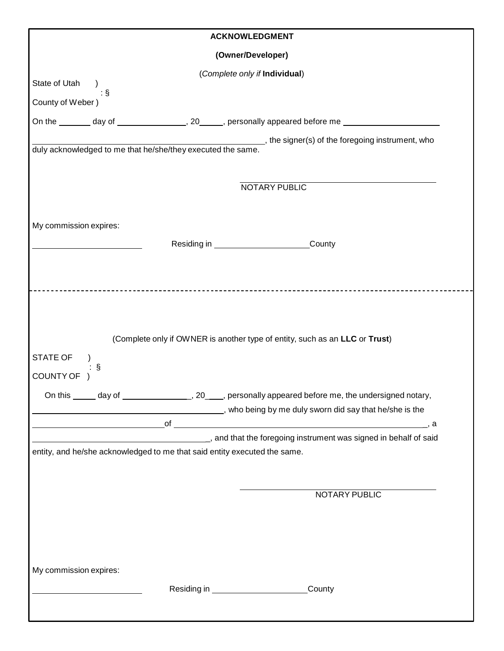|                                                                           | <b>ACKNOWLEDGMENT</b>                            |                                                                                                                 |
|---------------------------------------------------------------------------|--------------------------------------------------|-----------------------------------------------------------------------------------------------------------------|
|                                                                           | (Owner/Developer)                                |                                                                                                                 |
| State of Utah )                                                           | (Complete only if Individual)                    |                                                                                                                 |
| $\therefore$ \$                                                           |                                                  |                                                                                                                 |
| County of Weber)                                                          |                                                  |                                                                                                                 |
|                                                                           |                                                  | On the ________ day of _________________, 20______, personally appeared before me ________________________      |
| duly acknowledged to me that he/she/they executed the same.               |                                                  | ________________, the signer(s) of the foregoing instrument, who                                                |
|                                                                           |                                                  |                                                                                                                 |
|                                                                           |                                                  | NOTARY PUBLIC                                                                                                   |
|                                                                           |                                                  |                                                                                                                 |
| My commission expires:                                                    |                                                  |                                                                                                                 |
|                                                                           | Residing in ______________________________County |                                                                                                                 |
|                                                                           |                                                  |                                                                                                                 |
|                                                                           |                                                  |                                                                                                                 |
| STATE OF<br>ş<br>COUNTY OF )                                              |                                                  |                                                                                                                 |
|                                                                           |                                                  | On this ______ day of _____________________, 20_____, personally appeared before me, the undersigned notary,    |
|                                                                           |                                                  |                                                                                                                 |
|                                                                           |                                                  | who being by me duly sworn did say that he/she is the methods of the state methods of the state of the state of |
|                                                                           |                                                  |                                                                                                                 |
|                                                                           |                                                  |                                                                                                                 |
| entity, and he/she acknowledged to me that said entity executed the same. |                                                  |                                                                                                                 |
|                                                                           |                                                  | NOTARY PUBLIC                                                                                                   |
|                                                                           |                                                  |                                                                                                                 |
|                                                                           |                                                  |                                                                                                                 |
|                                                                           |                                                  |                                                                                                                 |
|                                                                           |                                                  |                                                                                                                 |
| My commission expires:                                                    |                                                  |                                                                                                                 |
|                                                                           |                                                  | County                                                                                                          |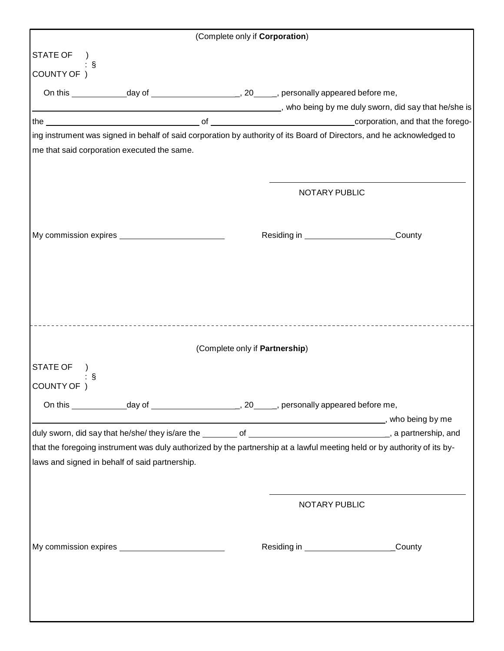|                                                |                            | (Complete only if Corporation) |               |                                                                                                                          |  |
|------------------------------------------------|----------------------------|--------------------------------|---------------|--------------------------------------------------------------------------------------------------------------------------|--|
| STATE OF )                                     |                            |                                |               |                                                                                                                          |  |
| : §<br>COUNTY OF )                             |                            |                                |               |                                                                                                                          |  |
|                                                |                            |                                |               |                                                                                                                          |  |
|                                                |                            |                                |               | who being by me duly sworn, did say that he/she is  All the stream and the set of the sheal of the sheal of              |  |
|                                                |                            |                                |               |                                                                                                                          |  |
|                                                |                            |                                |               | ing instrument was signed in behalf of said corporation by authority of its Board of Directors, and he acknowledged to   |  |
| me that said corporation executed the same.    |                            |                                |               |                                                                                                                          |  |
|                                                |                            |                                |               |                                                                                                                          |  |
|                                                |                            |                                | NOTARY PUBLIC |                                                                                                                          |  |
|                                                |                            |                                |               |                                                                                                                          |  |
|                                                |                            |                                |               |                                                                                                                          |  |
|                                                |                            |                                |               | Residing in ____________________________County                                                                           |  |
|                                                |                            |                                |               |                                                                                                                          |  |
|                                                |                            |                                |               |                                                                                                                          |  |
|                                                |                            |                                |               |                                                                                                                          |  |
|                                                |                            |                                |               |                                                                                                                          |  |
|                                                | -------------------------- |                                |               |                                                                                                                          |  |
|                                                |                            |                                |               |                                                                                                                          |  |
|                                                |                            | (Complete only if Partnership) |               |                                                                                                                          |  |
| STATE OF                                       |                            |                                |               |                                                                                                                          |  |
| - §<br>COUNTY OF                               |                            |                                |               |                                                                                                                          |  |
|                                                |                            |                                |               |                                                                                                                          |  |
|                                                |                            |                                |               |                                                                                                                          |  |
|                                                |                            |                                |               |                                                                                                                          |  |
|                                                |                            |                                |               | that the foregoing instrument was duly authorized by the partnership at a lawful meeting held or by authority of its by- |  |
| laws and signed in behalf of said partnership. |                            |                                |               |                                                                                                                          |  |
|                                                |                            |                                |               |                                                                                                                          |  |
|                                                |                            |                                | NOTARY PUBLIC |                                                                                                                          |  |
|                                                |                            |                                |               |                                                                                                                          |  |
|                                                |                            |                                |               |                                                                                                                          |  |
|                                                |                            |                                |               | _County                                                                                                                  |  |
|                                                |                            |                                |               |                                                                                                                          |  |
|                                                |                            |                                |               |                                                                                                                          |  |
|                                                |                            |                                |               |                                                                                                                          |  |
|                                                |                            |                                |               |                                                                                                                          |  |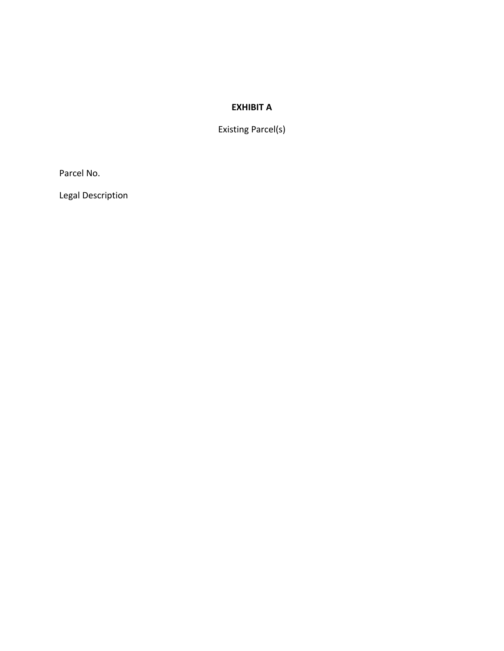### **EXHIBIT A**

Existing Parcel(s)

Parcel No.

Legal Description